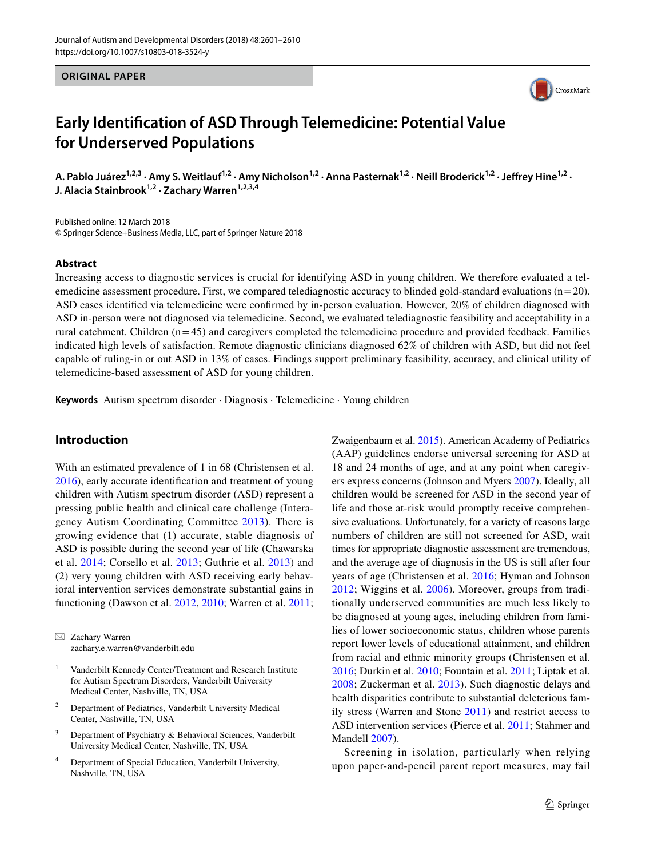#### **ORIGINAL PAPER**



# **Early Identification of ASD Through Telemedicine: Potential Value for Underserved Populations**

A. Pablo Juárez<sup>1,2,3</sup> · Amy S. Weitlauf<sup>1,2</sup> · Amy Nicholson<sup>1,2</sup> · Anna Pasternak<sup>1,2</sup> · Neill Broderick<sup>1,2</sup> · Jeffrey Hine<sup>1,2</sup> · **J. Alacia Stainbrook1,2 · Zachary Warren1,2,3,4**

Published online: 12 March 2018 © Springer Science+Business Media, LLC, part of Springer Nature 2018

#### **Abstract**

Increasing access to diagnostic services is crucial for identifying ASD in young children. We therefore evaluated a telemedicine assessment procedure. First, we compared telediagnostic accuracy to blinded gold-standard evaluations  $(n=20)$ . ASD cases identified via telemedicine were confirmed by in-person evaluation. However, 20% of children diagnosed with ASD in-person were not diagnosed via telemedicine. Second, we evaluated telediagnostic feasibility and acceptability in a rural catchment. Children (n=45) and caregivers completed the telemedicine procedure and provided feedback. Families indicated high levels of satisfaction. Remote diagnostic clinicians diagnosed 62% of children with ASD, but did not feel capable of ruling-in or out ASD in 13% of cases. Findings support preliminary feasibility, accuracy, and clinical utility of telemedicine-based assessment of ASD for young children.

**Keywords** Autism spectrum disorder · Diagnosis · Telemedicine · Young children

# **Introduction**

With an estimated prevalence of 1 in 68 (Christensen et al. [2016](#page-7-0)), early accurate identification and treatment of young children with Autism spectrum disorder (ASD) represent a pressing public health and clinical care challenge (Interagency Autism Coordinating Committee [2013](#page-8-0)). There is growing evidence that (1) accurate, stable diagnosis of ASD is possible during the second year of life (Chawarska et al. [2014](#page-7-1); Corsello et al. [2013](#page-7-2); Guthrie et al. [2013\)](#page-8-1) and (2) very young children with ASD receiving early behavioral intervention services demonstrate substantial gains in functioning (Dawson et al. [2012,](#page-7-3) [2010](#page-8-2); Warren et al. [2011](#page-8-3);

 $\boxtimes$  Zachary Warren zachary.e.warren@vanderbilt.edu

- Vanderbilt Kennedy Center/Treatment and Research Institute for Autism Spectrum Disorders, Vanderbilt University Medical Center, Nashville, TN, USA
- <sup>2</sup> Department of Pediatrics, Vanderbilt University Medical Center, Nashville, TN, USA
- <sup>3</sup> Department of Psychiatry & Behavioral Sciences, Vanderbilt University Medical Center, Nashville, TN, USA
- Department of Special Education, Vanderbilt University, Nashville, TN, USA

Zwaigenbaum et al. [2015](#page-9-0)). American Academy of Pediatrics (AAP) guidelines endorse universal screening for ASD at 18 and 24 months of age, and at any point when caregivers express concerns (Johnson and Myers [2007\)](#page-8-4). Ideally, all children would be screened for ASD in the second year of life and those at-risk would promptly receive comprehensive evaluations. Unfortunately, for a variety of reasons large numbers of children are still not screened for ASD, wait times for appropriate diagnostic assessment are tremendous, and the average age of diagnosis in the US is still after four years of age (Christensen et al. [2016;](#page-7-0) Hyman and Johnson [2012;](#page-8-5) Wiggins et al. [2006\)](#page-8-6). Moreover, groups from traditionally underserved communities are much less likely to be diagnosed at young ages, including children from families of lower socioeconomic status, children whose parents report lower levels of educational attainment, and children from racial and ethnic minority groups (Christensen et al. [2016](#page-7-0); Durkin et al. [2010;](#page-8-7) Fountain et al. [2011;](#page-8-8) Liptak et al. [2008](#page-8-9); Zuckerman et al. [2013\)](#page-9-1). Such diagnostic delays and health disparities contribute to substantial deleterious family stress (Warren and Stone [2011](#page-8-10)) and restrict access to ASD intervention services (Pierce et al. [2011](#page-8-11); Stahmer and Mandell [2007](#page-8-12)).

Screening in isolation, particularly when relying upon paper-and-pencil parent report measures, may fail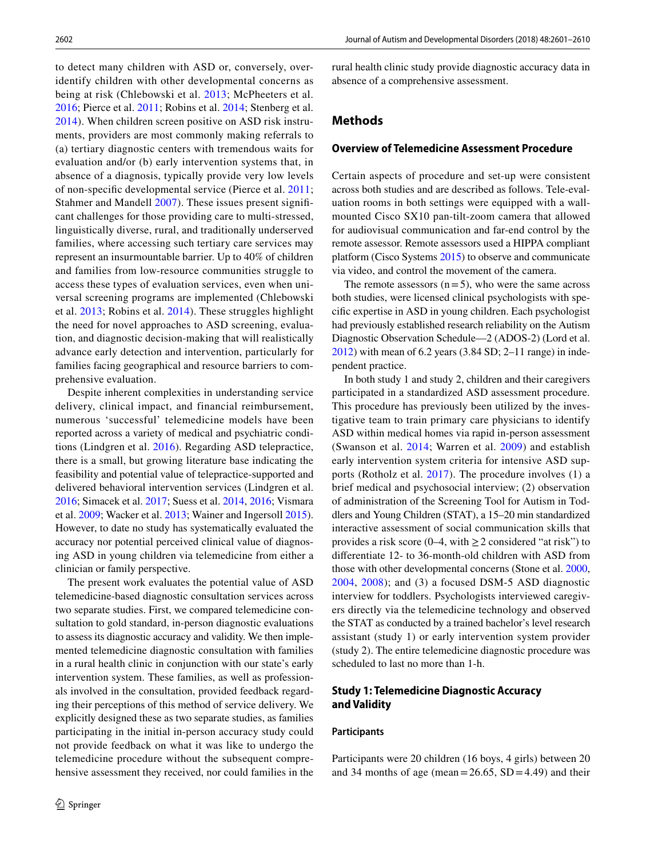to detect many children with ASD or, conversely, overidentify children with other developmental concerns as being at risk (Chlebowski et al. [2013](#page-7-4); McPheeters et al. [2016](#page-8-13); Pierce et al. [2011](#page-8-11); Robins et al. [2014;](#page-8-14) Stenberg et al. [2014\)](#page-8-15). When children screen positive on ASD risk instruments, providers are most commonly making referrals to (a) tertiary diagnostic centers with tremendous waits for evaluation and/or (b) early intervention systems that, in absence of a diagnosis, typically provide very low levels of non-specific developmental service (Pierce et al. [2011](#page-8-11); Stahmer and Mandell [2007\)](#page-8-12). These issues present significant challenges for those providing care to multi-stressed, linguistically diverse, rural, and traditionally underserved families, where accessing such tertiary care services may represent an insurmountable barrier. Up to 40% of children and families from low-resource communities struggle to access these types of evaluation services, even when universal screening programs are implemented (Chlebowski et al. [2013;](#page-7-4) Robins et al. [2014](#page-8-14)). These struggles highlight the need for novel approaches to ASD screening, evaluation, and diagnostic decision-making that will realistically advance early detection and intervention, particularly for families facing geographical and resource barriers to comprehensive evaluation.

Despite inherent complexities in understanding service delivery, clinical impact, and financial reimbursement, numerous 'successful' telemedicine models have been reported across a variety of medical and psychiatric conditions (Lindgren et al. [2016\)](#page-8-16). Regarding ASD telepractice, there is a small, but growing literature base indicating the feasibility and potential value of telepractice-supported and delivered behavioral intervention services (Lindgren et al. [2016](#page-8-16); Simacek et al. [2017](#page-8-17); Suess et al. [2014,](#page-8-18) [2016](#page-8-19); Vismara et al. [2009;](#page-8-20) Wacker et al. [2013](#page-8-21); Wainer and Ingersoll [2015](#page-8-22)). However, to date no study has systematically evaluated the accuracy nor potential perceived clinical value of diagnosing ASD in young children via telemedicine from either a clinician or family perspective.

The present work evaluates the potential value of ASD telemedicine-based diagnostic consultation services across two separate studies. First, we compared telemedicine consultation to gold standard, in-person diagnostic evaluations to assess its diagnostic accuracy and validity. We then implemented telemedicine diagnostic consultation with families in a rural health clinic in conjunction with our state's early intervention system. These families, as well as professionals involved in the consultation, provided feedback regarding their perceptions of this method of service delivery. We explicitly designed these as two separate studies, as families participating in the initial in-person accuracy study could not provide feedback on what it was like to undergo the telemedicine procedure without the subsequent comprehensive assessment they received, nor could families in the rural health clinic study provide diagnostic accuracy data in absence of a comprehensive assessment.

## **Methods**

#### **Overview of Telemedicine Assessment Procedure**

Certain aspects of procedure and set-up were consistent across both studies and are described as follows. Tele-evaluation rooms in both settings were equipped with a wallmounted Cisco SX10 pan-tilt-zoom camera that allowed for audiovisual communication and far-end control by the remote assessor. Remote assessors used a HIPPA compliant platform (Cisco Systems [2015\)](#page-7-5) to observe and communicate via video, and control the movement of the camera.

The remote assessors  $(n=5)$ , who were the same across both studies, were licensed clinical psychologists with specific expertise in ASD in young children. Each psychologist had previously established research reliability on the Autism Diagnostic Observation Schedule—2 (ADOS-2) (Lord et al. [2012](#page-8-23)) with mean of 6.2 years (3.84 SD; 2–11 range) in independent practice.

In both study 1 and study 2, children and their caregivers participated in a standardized ASD assessment procedure. This procedure has previously been utilized by the investigative team to train primary care physicians to identify ASD within medical homes via rapid in-person assessment (Swanson et al. [2014;](#page-8-24) Warren et al. [2009](#page-8-25)) and establish early intervention system criteria for intensive ASD supports (Rotholz et al. [2017](#page-8-26)). The procedure involves (1) a brief medical and psychosocial interview; (2) observation of administration of the Screening Tool for Autism in Toddlers and Young Children (STAT), a 15–20 min standardized interactive assessment of social communication skills that provides a risk score (0–4, with  $\geq$  2 considered "at risk") to differentiate 12- to 36-month-old children with ASD from those with other developmental concerns (Stone et al. [2000,](#page-8-27) [2004](#page-8-28), [2008](#page-8-29)); and (3) a focused DSM-5 ASD diagnostic interview for toddlers. Psychologists interviewed caregivers directly via the telemedicine technology and observed the STAT as conducted by a trained bachelor's level research assistant (study 1) or early intervention system provider (study 2). The entire telemedicine diagnostic procedure was scheduled to last no more than 1-h.

## **Study 1: Telemedicine Diagnostic Accuracy and Validity**

#### **Participants**

Participants were 20 children (16 boys, 4 girls) between 20 and 34 months of age (mean=26.65,  $SD = 4.49$ ) and their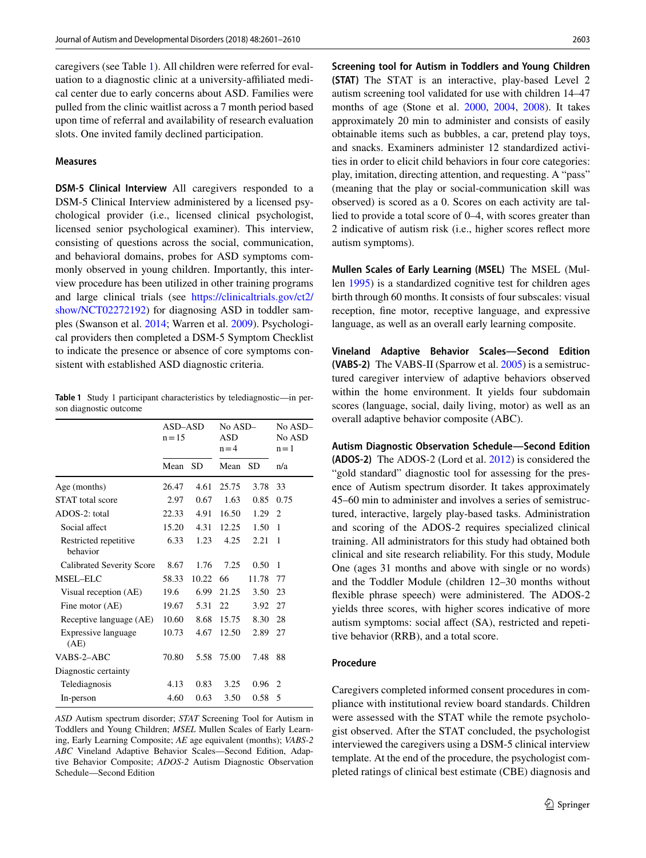caregivers (see Table [1](#page-2-0)). All children were referred for evaluation to a diagnostic clinic at a university-affiliated medical center due to early concerns about ASD. Families were pulled from the clinic waitlist across a 7 month period based upon time of referral and availability of research evaluation slots. One invited family declined participation.

#### **Measures**

**DSM‑5 Clinical Interview** All caregivers responded to a DSM-5 Clinical Interview administered by a licensed psychological provider (i.e., licensed clinical psychologist, licensed senior psychological examiner). This interview, consisting of questions across the social, communication, and behavioral domains, probes for ASD symptoms commonly observed in young children. Importantly, this interview procedure has been utilized in other training programs and large clinical trials (see [https://clinicaltrials.gov/ct2/](https://clinicaltrials.gov/ct2/show/NCT02272192) [show/NCT02272192\)](https://clinicaltrials.gov/ct2/show/NCT02272192) for diagnosing ASD in toddler samples (Swanson et al. [2014;](#page-8-24) Warren et al. [2009](#page-8-25)). Psychological providers then completed a DSM-5 Symptom Checklist to indicate the presence or absence of core symptoms consistent with established ASD diagnostic criteria.

<span id="page-2-0"></span>**Table 1** Study 1 participant characteristics by telediagnostic—in person diagnostic outcome

| $ASD-ASD$<br>$n = 15$ |           | No ASD-<br>ASD<br>$n = 4$ |       | No ASD<br>No ASD<br>$n = 1$ |  |
|-----------------------|-----------|---------------------------|-------|-----------------------------|--|
| Mean                  | <b>SD</b> | Mean                      | SD.   | n/a                         |  |
| 26.47                 | 4.61      | 25.75                     | 3.78  | 33                          |  |
| 2.97                  | 0.67      | 1.63                      | 0.85  | 0.75                        |  |
| 22.33                 | 4.91      |                           | 1.29  | $\overline{c}$              |  |
| 15.20                 | 4.31      |                           | 1.50  | 1                           |  |
| 6.33                  | 1.23      | 4.25                      | 2.21  | 1                           |  |
| 8.67                  | 1.76      | 7.25                      | 0.50  | 1                           |  |
| 58.33                 | 10.22     | 66                        | 11.78 | 77                          |  |
| 19.6                  | 6.99      | 21.25                     | 3.50  | 23                          |  |
| 19.67                 | 5.31      | 22.                       | 3.92  | 27                          |  |
| 10.60                 | 8.68      | 15.75                     | 8.30  | 28                          |  |
| 10.73                 | 4.67      | 12.50                     | 2.89  | 27                          |  |
| 70.80                 | 5.58      | 75.00                     | 7.48  | 88                          |  |
|                       |           |                           |       |                             |  |
| 4.13                  | 0.83      | 3.25                      | 0.96  | 2                           |  |
| 4.60                  | 0.63      | 3.50                      | 0.58  | 5                           |  |
|                       |           |                           |       | 16.50<br>12.25              |  |

*ASD* Autism spectrum disorder; *STAT* Screening Tool for Autism in Toddlers and Young Children; *MSEL* Mullen Scales of Early Learning, Early Learning Composite; *AE* age equivalent (months); *VABS-2 ABC* Vineland Adaptive Behavior Scales—Second Edition, Adaptive Behavior Composite; *ADOS-2* Autism Diagnostic Observation Schedule—Second Edition

**Screening tool for Autism in Toddlers and Young Children (STAT)** The STAT is an interactive, play-based Level 2 autism screening tool validated for use with children 14–47 months of age (Stone et al. [2000](#page-8-27), [2004](#page-8-28), [2008\)](#page-8-29). It takes approximately 20 min to administer and consists of easily obtainable items such as bubbles, a car, pretend play toys, and snacks. Examiners administer 12 standardized activities in order to elicit child behaviors in four core categories: play, imitation, directing attention, and requesting. A "pass" (meaning that the play or social-communication skill was observed) is scored as a 0. Scores on each activity are tallied to provide a total score of 0–4, with scores greater than 2 indicative of autism risk (i.e., higher scores reflect more autism symptoms).

**Mullen Scales of Early Learning (MSEL)** The MSEL (Mullen [1995\)](#page-8-30) is a standardized cognitive test for children ages birth through 60 months. It consists of four subscales: visual reception, fine motor, receptive language, and expressive language, as well as an overall early learning composite.

**Vineland Adaptive Behavior Scales—Second Edition (VABS‑2)** The VABS-II (Sparrow et al. [2005\)](#page-8-31) is a semistructured caregiver interview of adaptive behaviors observed within the home environment. It yields four subdomain scores (language, social, daily living, motor) as well as an overall adaptive behavior composite (ABC).

**Autism Diagnostic Observation Schedule—Second Edition (ADOS‑2)** The ADOS-2 (Lord et al. [2012](#page-8-23)) is considered the "gold standard" diagnostic tool for assessing for the presence of Autism spectrum disorder. It takes approximately 45–60 min to administer and involves a series of semistructured, interactive, largely play-based tasks. Administration and scoring of the ADOS-2 requires specialized clinical training. All administrators for this study had obtained both clinical and site research reliability. For this study, Module One (ages 31 months and above with single or no words) and the Toddler Module (children 12–30 months without flexible phrase speech) were administered. The ADOS-2 yields three scores, with higher scores indicative of more autism symptoms: social affect (SA), restricted and repetitive behavior (RRB), and a total score.

#### **Procedure**

Caregivers completed informed consent procedures in compliance with institutional review board standards. Children were assessed with the STAT while the remote psychologist observed. After the STAT concluded, the psychologist interviewed the caregivers using a DSM-5 clinical interview template. At the end of the procedure, the psychologist completed ratings of clinical best estimate (CBE) diagnosis and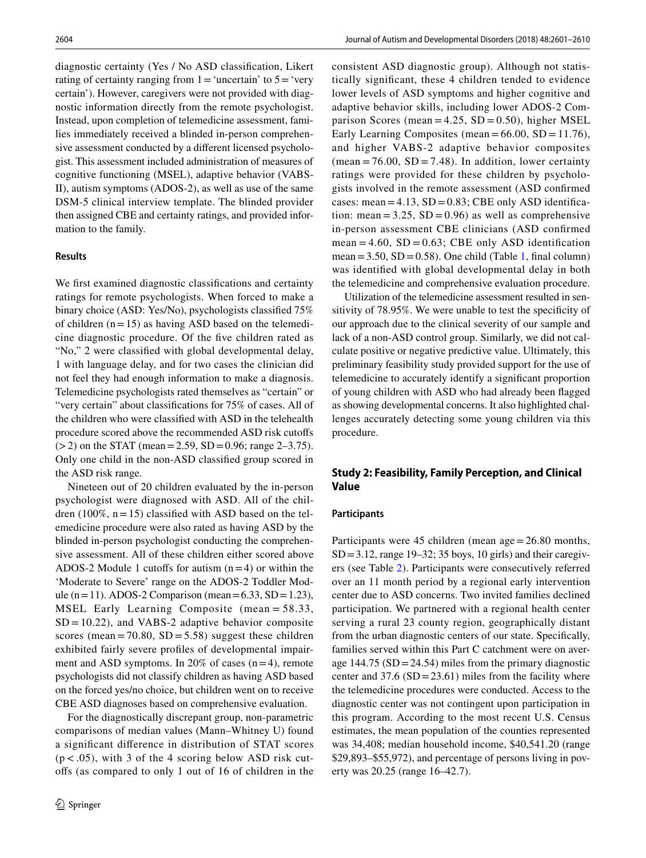diagnostic certainty (Yes / No ASD classification, Likert rating of certainty ranging from  $1=$  'uncertain' to  $5=$  'very certain'). However, caregivers were not provided with diagnostic information directly from the remote psychologist. Instead, upon completion of telemedicine assessment, families immediately received a blinded in-person comprehensive assessment conducted by a different licensed psychologist. This assessment included administration of measures of cognitive functioning (MSEL), adaptive behavior (VABS-II), autism symptoms (ADOS-2), as well as use of the same DSM-5 clinical interview template. The blinded provider then assigned CBE and certainty ratings, and provided information to the family.

#### **Results**

We first examined diagnostic classifications and certainty ratings for remote psychologists. When forced to make a binary choice (ASD: Yes/No), psychologists classified 75% of children  $(n=15)$  as having ASD based on the telemedicine diagnostic procedure. Of the five children rated as "No," 2 were classified with global developmental delay, 1 with language delay, and for two cases the clinician did not feel they had enough information to make a diagnosis. Telemedicine psychologists rated themselves as "certain" or "very certain" about classifications for 75% of cases. All of the children who were classified with ASD in the telehealth procedure scored above the recommended ASD risk cutoffs  $(> 2)$  on the STAT (mean = 2.59, SD = 0.96; range 2–3.75). Only one child in the non-ASD classified group scored in the ASD risk range.

Nineteen out of 20 children evaluated by the in-person psychologist were diagnosed with ASD. All of the children (100%,  $n=15$ ) classified with ASD based on the telemedicine procedure were also rated as having ASD by the blinded in-person psychologist conducting the comprehensive assessment. All of these children either scored above ADOS-2 Module 1 cutoffs for autism  $(n=4)$  or within the 'Moderate to Severe' range on the ADOS-2 Toddler Module (n=11). ADOS-2 Comparison (mean=6.33, SD=1.23), MSEL Early Learning Composite (mean = 58.33,  $SD = 10.22$ , and VABS-2 adaptive behavior composite scores (mean=70.80,  $SD = 5.58$ ) suggest these children exhibited fairly severe profiles of developmental impairment and ASD symptoms. In 20% of cases  $(n=4)$ , remote psychologists did not classify children as having ASD based on the forced yes/no choice, but children went on to receive CBE ASD diagnoses based on comprehensive evaluation.

For the diagnostically discrepant group, non-parametric comparisons of median values (Mann–Whitney U) found a significant difference in distribution of STAT scores  $(p < .05)$ , with 3 of the 4 scoring below ASD risk cutoffs (as compared to only 1 out of 16 of children in the consistent ASD diagnostic group). Although not statistically significant, these 4 children tended to evidence lower levels of ASD symptoms and higher cognitive and adaptive behavior skills, including lower ADOS-2 Comparison Scores (mean  $= 4.25$ , SD  $= 0.50$ ), higher MSEL Early Learning Composites (mean =  $66.00$ , SD =  $11.76$ ), and higher VABS-2 adaptive behavior composites  $(mean = 76.00, SD = 7.48)$ . In addition, lower certainty ratings were provided for these children by psychologists involved in the remote assessment (ASD confirmed cases: mean =  $4.13$ , SD =  $0.83$ ; CBE only ASD identification: mean =  $3.25$ , SD = 0.96) as well as comprehensive in-person assessment CBE clinicians (ASD confirmed mean =  $4.60$ , SD =  $0.63$ ; CBE only ASD identification mean =  $3.50$ , SD =  $0.58$ ). One child (Table [1](#page-2-0), final column) was identified with global developmental delay in both the telemedicine and comprehensive evaluation procedure.

Utilization of the telemedicine assessment resulted in sensitivity of 78.95%. We were unable to test the specificity of our approach due to the clinical severity of our sample and lack of a non-ASD control group. Similarly, we did not calculate positive or negative predictive value. Ultimately, this preliminary feasibility study provided support for the use of telemedicine to accurately identify a significant proportion of young children with ASD who had already been flagged as showing developmental concerns. It also highlighted challenges accurately detecting some young children via this procedure.

# **Study 2: Feasibility, Family Perception, and Clinical Value**

#### **Participants**

Participants were 45 children (mean age=26.80 months,  $SD = 3.12$ , range 19–32; 35 boys, 10 girls) and their caregivers (see Table [2\)](#page-4-0). Participants were consecutively referred over an 11 month period by a regional early intervention center due to ASD concerns. Two invited families declined participation. We partnered with a regional health center serving a rural 23 county region, geographically distant from the urban diagnostic centers of our state. Specifically, families served within this Part C catchment were on average 144.75 ( $SD = 24.54$ ) miles from the primary diagnostic center and  $37.6$  (SD = 23.61) miles from the facility where the telemedicine procedures were conducted. Access to the diagnostic center was not contingent upon participation in this program. According to the most recent U.S. Census estimates, the mean population of the counties represented was 34,408; median household income, \$40,541.20 (range \$29,893–\$55,972), and percentage of persons living in poverty was 20.25 (range 16–42.7).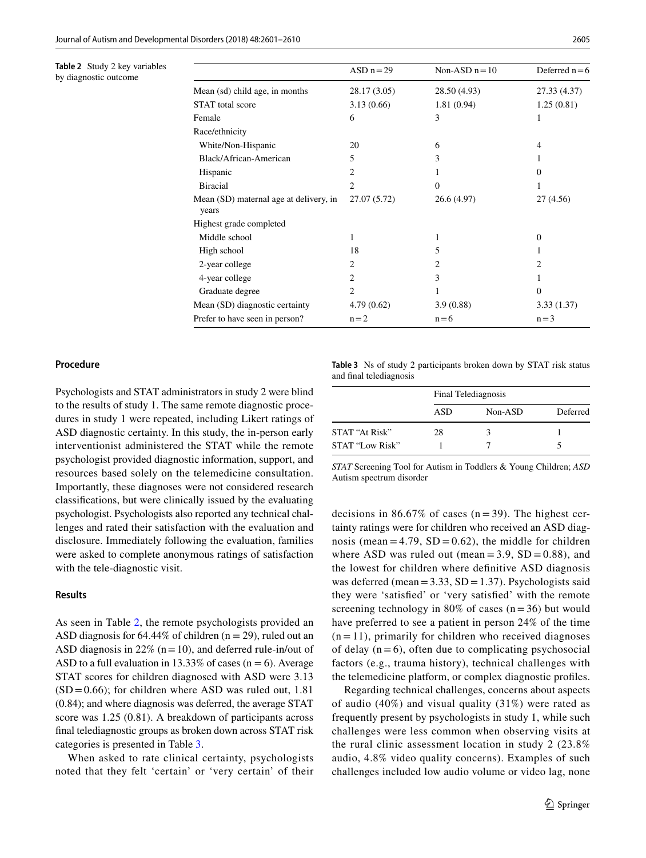<span id="page-4-0"></span>**Table 2** Study 2 key variables by diagnostic outcome

|                                                 | ASD $n = 29$   | Non-ASD $n = 10$ | Deferred $n=6$ |  |  |
|-------------------------------------------------|----------------|------------------|----------------|--|--|
| Mean (sd) child age, in months                  | 28.17 (3.05)   | 28.50 (4.93)     | 27.33 (4.37)   |  |  |
| <b>STAT</b> total score                         | 3.13(0.66)     | 1.81(0.94)       | 1.25(0.81)     |  |  |
| Female                                          | 6              | 3                | 1              |  |  |
| Race/ethnicity                                  |                |                  |                |  |  |
| White/Non-Hispanic                              | 20             | 6                | 4              |  |  |
| Black/African-American                          | 5              | 3                |                |  |  |
| Hispanic                                        | 2              | 1                | $\Omega$       |  |  |
| <b>Biracial</b>                                 | $\overline{2}$ | $\Omega$         |                |  |  |
| Mean (SD) maternal age at delivery, in<br>years | 27.07 (5.72)   | 26.6(4.97)       | 27 (4.56)      |  |  |
| Highest grade completed                         |                |                  |                |  |  |
| Middle school                                   | 1              | 1                | $\Omega$       |  |  |
| High school                                     | 18             | 5                |                |  |  |
| 2-year college                                  | 2              | 2                | 2              |  |  |
| 4-year college                                  | $\overline{2}$ | 3                |                |  |  |
| Graduate degree                                 | $\overline{2}$ | 1                | $\Omega$       |  |  |
| Mean (SD) diagnostic certainty                  | 4.79(0.62)     | 3.9(0.88)        | 3.33(1.37)     |  |  |
| Prefer to have seen in person?                  | $n = 2$        | $n = 6$          | $n = 3$        |  |  |

#### **Procedure**

Psychologists and STAT administrators in study 2 were blind to the results of study 1. The same remote diagnostic procedures in study 1 were repeated, including Likert ratings of ASD diagnostic certainty. In this study, the in-person early interventionist administered the STAT while the remote psychologist provided diagnostic information, support, and resources based solely on the telemedicine consultation. Importantly, these diagnoses were not considered research classifications, but were clinically issued by the evaluating psychologist. Psychologists also reported any technical challenges and rated their satisfaction with the evaluation and disclosure. Immediately following the evaluation, families were asked to complete anonymous ratings of satisfaction with the tele-diagnostic visit.

#### **Results**

As seen in Table [2,](#page-4-0) the remote psychologists provided an ASD diagnosis for  $64.44\%$  of children (n = 29), ruled out an ASD diagnosis in 22% ( $n=10$ ), and deferred rule-in/out of ASD to a full evaluation in 13.33% of cases ( $n = 6$ ). Average STAT scores for children diagnosed with ASD were 3.13  $(SD = 0.66)$ ; for children where ASD was ruled out, 1.81 (0.84); and where diagnosis was deferred, the average STAT score was 1.25 (0.81). A breakdown of participants across final telediagnostic groups as broken down across STAT risk categories is presented in Table [3](#page-4-1).

When asked to rate clinical certainty, psychologists noted that they felt 'certain' or 'very certain' of their

<span id="page-4-1"></span>**Table 3** Ns of study 2 participants broken down by STAT risk status and final telediagnosis

|                 | Final Telediagnosis |         |          |  |
|-----------------|---------------------|---------|----------|--|
|                 | ASD.                | Non-ASD | Deferred |  |
| STAT "At Risk"  | 28                  |         |          |  |
| STAT "Low Risk" |                     |         |          |  |

*STAT* Screening Tool for Autism in Toddlers & Young Children; *ASD* Autism spectrum disorder

decisions in 86.67% of cases ( $n = 39$ ). The highest certainty ratings were for children who received an ASD diagnosis (mean =  $4.79$ , SD = 0.62), the middle for children where ASD was ruled out (mean =  $3.9$ , SD =  $0.88$ ), and the lowest for children where definitive ASD diagnosis was deferred (mean =  $3.33$ , SD =  $1.37$ ). Psychologists said they were 'satisfied' or 'very satisfied' with the remote screening technology in 80% of cases  $(n=36)$  but would have preferred to see a patient in person 24% of the time  $(n = 11)$ , primarily for children who received diagnoses of delay  $(n = 6)$ , often due to complicating psychosocial factors (e.g., trauma history), technical challenges with the telemedicine platform, or complex diagnostic profiles.

Regarding technical challenges, concerns about aspects of audio (40%) and visual quality (31%) were rated as frequently present by psychologists in study 1, while such challenges were less common when observing visits at the rural clinic assessment location in study 2 (23.8% audio, 4.8% video quality concerns). Examples of such challenges included low audio volume or video lag, none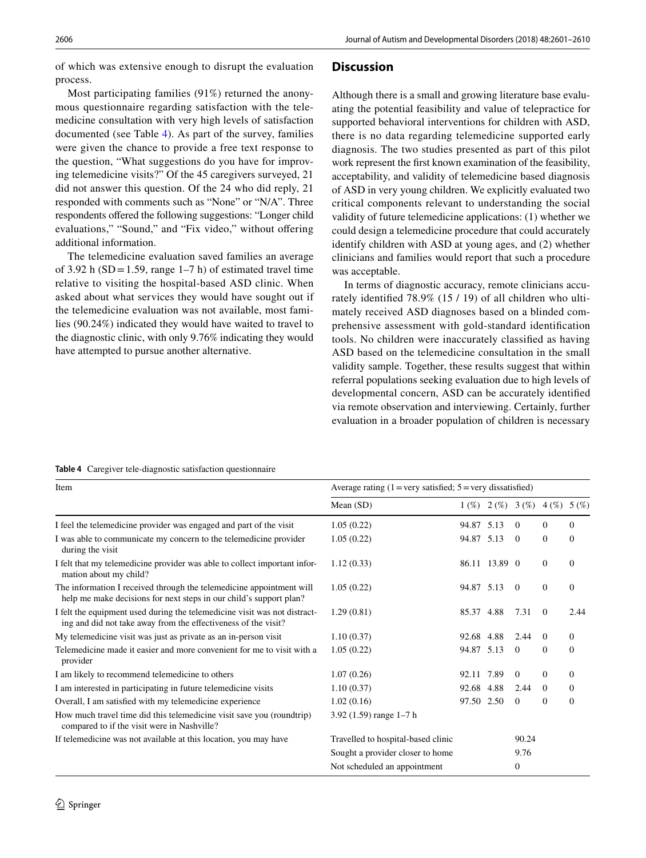of which was extensive enough to disrupt the evaluation process.

Most participating families (91%) returned the anonymous questionnaire regarding satisfaction with the telemedicine consultation with very high levels of satisfaction documented (see Table [4\)](#page-5-0). As part of the survey, families were given the chance to provide a free text response to the question, "What suggestions do you have for improving telemedicine visits?" Of the 45 caregivers surveyed, 21 did not answer this question. Of the 24 who did reply, 21 responded with comments such as "None" or "N/A". Three respondents offered the following suggestions: "Longer child evaluations," "Sound," and "Fix video," without offering additional information.

The telemedicine evaluation saved families an average of 3.92 h (SD = 1.59, range 1–7 h) of estimated travel time relative to visiting the hospital-based ASD clinic. When asked about what services they would have sought out if the telemedicine evaluation was not available, most families (90.24%) indicated they would have waited to travel to the diagnostic clinic, with only 9.76% indicating they would have attempted to pursue another alternative.

### **Discussion**

Although there is a small and growing literature base evaluating the potential feasibility and value of telepractice for supported behavioral interventions for children with ASD, there is no data regarding telemedicine supported early diagnosis. The two studies presented as part of this pilot work represent the first known examination of the feasibility, acceptability, and validity of telemedicine based diagnosis of ASD in very young children. We explicitly evaluated two critical components relevant to understanding the social validity of future telemedicine applications: (1) whether we could design a telemedicine procedure that could accurately identify children with ASD at young ages, and (2) whether clinicians and families would report that such a procedure was acceptable.

In terms of diagnostic accuracy, remote clinicians accurately identified 78.9% (15 / 19) of all children who ultimately received ASD diagnoses based on a blinded comprehensive assessment with gold-standard identification tools. No children were inaccurately classified as having ASD based on the telemedicine consultation in the small validity sample. Together, these results suggest that within referral populations seeking evaluation due to high levels of developmental concern, ASD can be accurately identified via remote observation and interviewing. Certainly, further evaluation in a broader population of children is necessary

#### <span id="page-5-0"></span>**Table 4** Caregiver tele-diagnostic satisfaction questionnaire

| Item                                                                                                                                        | Average rating $(1 = \text{very satisfied}; 5 = \text{very dissatisfied})$ |            |                         |              |                |                |
|---------------------------------------------------------------------------------------------------------------------------------------------|----------------------------------------------------------------------------|------------|-------------------------|--------------|----------------|----------------|
|                                                                                                                                             | Mean $(SD)$                                                                |            | $1(\%)$ $2(\%)$ $3(\%)$ |              | 4(%)           | 5(%)           |
| I feel the telemedicine provider was engaged and part of the visit                                                                          | 1.05(0.22)                                                                 | 94.87 5.13 |                         | $\Omega$     | $\overline{0}$ | $\mathbf{0}$   |
| I was able to communicate my concern to the telemedicine provider<br>during the visit                                                       | 1.05(0.22)                                                                 | 94.87 5.13 |                         | $\Omega$     | $\overline{0}$ | $\overline{0}$ |
| I felt that my telemedicine provider was able to collect important infor-<br>mation about my child?                                         | 1.12(0.33)                                                                 |            | 86.11 13.89 0           |              | $\overline{0}$ | $\Omega$       |
| The information I received through the telemedicine appointment will<br>help me make decisions for next steps in our child's support plan?  | 1.05(0.22)                                                                 | 94.87 5.13 |                         | $\Omega$     | $\overline{0}$ | $\mathbf{0}$   |
| I felt the equipment used during the telemedicine visit was not distract-<br>ing and did not take away from the effectiveness of the visit? | 1.29(0.81)                                                                 | 85.37 4.88 |                         | 7.31         | $\Omega$       | 2.44           |
| My telemedicine visit was just as private as an in-person visit                                                                             | 1.10(0.37)                                                                 | 92.68 4.88 |                         | 2.44         | $\Omega$       | $\theta$       |
| Telemedicine made it easier and more convenient for me to visit with a<br>provider                                                          | 1.05(0.22)                                                                 | 94.87 5.13 |                         | $\Omega$     | $\mathbf{0}$   | $\theta$       |
| I am likely to recommend telemedicine to others                                                                                             | 1.07(0.26)                                                                 | 92.11 7.89 |                         | $\theta$     | $\theta$       | $\theta$       |
| I am interested in participating in future telemedicine visits                                                                              | 1.10(0.37)                                                                 | 92.68 4.88 |                         | 2.44         | $\Omega$       | $\Omega$       |
| Overall, I am satisfied with my telemedicine experience                                                                                     | 1.02(0.16)                                                                 | 97.50 2.50 |                         | $\Omega$     | $\Omega$       | $\mathbf{0}$   |
| How much travel time did this telemedicine visit save you (roundtrip)<br>compared to if the visit were in Nashville?                        | $3.92$ (1.59) range 1–7 h                                                  |            |                         |              |                |                |
| If telemedicine was not available at this location, you may have                                                                            | Travelled to hospital-based clinic<br>90.24                                |            |                         |              |                |                |
|                                                                                                                                             | Sought a provider closer to home                                           |            |                         | 9.76         |                |                |
|                                                                                                                                             | Not scheduled an appointment                                               |            |                         | $\mathbf{0}$ |                |                |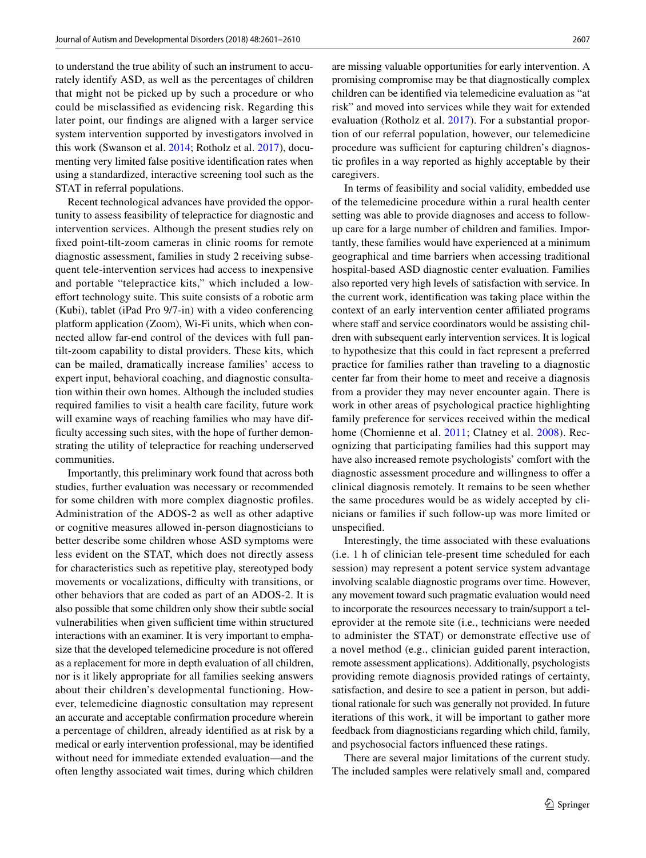to understand the true ability of such an instrument to accurately identify ASD, as well as the percentages of children that might not be picked up by such a procedure or who could be misclassified as evidencing risk. Regarding this later point, our findings are aligned with a larger service system intervention supported by investigators involved in this work (Swanson et al. [2014;](#page-8-24) Rotholz et al. [2017\)](#page-8-26), documenting very limited false positive identification rates when using a standardized, interactive screening tool such as the STAT in referral populations.

Recent technological advances have provided the opportunity to assess feasibility of telepractice for diagnostic and intervention services. Although the present studies rely on fixed point-tilt-zoom cameras in clinic rooms for remote diagnostic assessment, families in study 2 receiving subsequent tele-intervention services had access to inexpensive and portable "telepractice kits," which included a loweffort technology suite. This suite consists of a robotic arm (Kubi), tablet (iPad Pro 9/7-in) with a video conferencing platform application (Zoom), Wi-Fi units, which when connected allow far-end control of the devices with full pantilt-zoom capability to distal providers. These kits, which can be mailed, dramatically increase families' access to expert input, behavioral coaching, and diagnostic consultation within their own homes. Although the included studies required families to visit a health care facility, future work will examine ways of reaching families who may have difficulty accessing such sites, with the hope of further demonstrating the utility of telepractice for reaching underserved communities.

Importantly, this preliminary work found that across both studies, further evaluation was necessary or recommended for some children with more complex diagnostic profiles. Administration of the ADOS-2 as well as other adaptive or cognitive measures allowed in-person diagnosticians to better describe some children whose ASD symptoms were less evident on the STAT, which does not directly assess for characteristics such as repetitive play, stereotyped body movements or vocalizations, difficulty with transitions, or other behaviors that are coded as part of an ADOS-2. It is also possible that some children only show their subtle social vulnerabilities when given sufficient time within structured interactions with an examiner. It is very important to emphasize that the developed telemedicine procedure is not offered as a replacement for more in depth evaluation of all children, nor is it likely appropriate for all families seeking answers about their children's developmental functioning. However, telemedicine diagnostic consultation may represent an accurate and acceptable confirmation procedure wherein a percentage of children, already identified as at risk by a medical or early intervention professional, may be identified without need for immediate extended evaluation—and the often lengthy associated wait times, during which children are missing valuable opportunities for early intervention. A promising compromise may be that diagnostically complex children can be identified via telemedicine evaluation as "at risk" and moved into services while they wait for extended evaluation (Rotholz et al. [2017\)](#page-8-26). For a substantial proportion of our referral population, however, our telemedicine procedure was sufficient for capturing children's diagnostic profiles in a way reported as highly acceptable by their caregivers.

In terms of feasibility and social validity, embedded use of the telemedicine procedure within a rural health center setting was able to provide diagnoses and access to followup care for a large number of children and families. Importantly, these families would have experienced at a minimum geographical and time barriers when accessing traditional hospital-based ASD diagnostic center evaluation. Families also reported very high levels of satisfaction with service. In the current work, identification was taking place within the context of an early intervention center affiliated programs where staff and service coordinators would be assisting children with subsequent early intervention services. It is logical to hypothesize that this could in fact represent a preferred practice for families rather than traveling to a diagnostic center far from their home to meet and receive a diagnosis from a provider they may never encounter again. There is work in other areas of psychological practice highlighting family preference for services received within the medical home (Chomienne et al. [2011](#page-7-6); Clatney et al. [2008\)](#page-7-7). Recognizing that participating families had this support may have also increased remote psychologists' comfort with the diagnostic assessment procedure and willingness to offer a clinical diagnosis remotely. It remains to be seen whether the same procedures would be as widely accepted by clinicians or families if such follow-up was more limited or unspecified.

Interestingly, the time associated with these evaluations (i.e. 1 h of clinician tele-present time scheduled for each session) may represent a potent service system advantage involving scalable diagnostic programs over time. However, any movement toward such pragmatic evaluation would need to incorporate the resources necessary to train/support a teleprovider at the remote site (i.e., technicians were needed to administer the STAT) or demonstrate effective use of a novel method (e.g., clinician guided parent interaction, remote assessment applications). Additionally, psychologists providing remote diagnosis provided ratings of certainty, satisfaction, and desire to see a patient in person, but additional rationale for such was generally not provided. In future iterations of this work, it will be important to gather more feedback from diagnosticians regarding which child, family, and psychosocial factors influenced these ratings.

There are several major limitations of the current study. The included samples were relatively small and, compared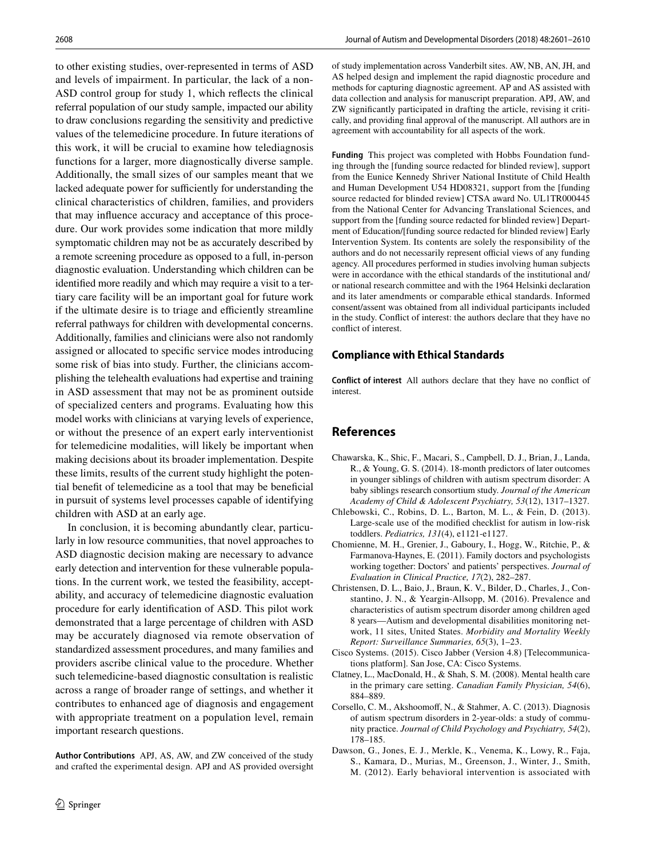to other existing studies, over-represented in terms of ASD and levels of impairment. In particular, the lack of a non-ASD control group for study 1, which reflects the clinical referral population of our study sample, impacted our ability to draw conclusions regarding the sensitivity and predictive values of the telemedicine procedure. In future iterations of this work, it will be crucial to examine how telediagnosis functions for a larger, more diagnostically diverse sample. Additionally, the small sizes of our samples meant that we lacked adequate power for sufficiently for understanding the clinical characteristics of children, families, and providers that may influence accuracy and acceptance of this procedure. Our work provides some indication that more mildly symptomatic children may not be as accurately described by a remote screening procedure as opposed to a full, in-person diagnostic evaluation. Understanding which children can be identified more readily and which may require a visit to a tertiary care facility will be an important goal for future work if the ultimate desire is to triage and efficiently streamline referral pathways for children with developmental concerns. Additionally, families and clinicians were also not randomly assigned or allocated to specific service modes introducing some risk of bias into study. Further, the clinicians accomplishing the telehealth evaluations had expertise and training in ASD assessment that may not be as prominent outside of specialized centers and programs. Evaluating how this model works with clinicians at varying levels of experience, or without the presence of an expert early interventionist for telemedicine modalities, will likely be important when making decisions about its broader implementation. Despite these limits, results of the current study highlight the potential benefit of telemedicine as a tool that may be beneficial in pursuit of systems level processes capable of identifying children with ASD at an early age.

In conclusion, it is becoming abundantly clear, particularly in low resource communities, that novel approaches to ASD diagnostic decision making are necessary to advance early detection and intervention for these vulnerable populations. In the current work, we tested the feasibility, acceptability, and accuracy of telemedicine diagnostic evaluation procedure for early identification of ASD. This pilot work demonstrated that a large percentage of children with ASD may be accurately diagnosed via remote observation of standardized assessment procedures, and many families and providers ascribe clinical value to the procedure. Whether such telemedicine-based diagnostic consultation is realistic across a range of broader range of settings, and whether it contributes to enhanced age of diagnosis and engagement with appropriate treatment on a population level, remain important research questions.

**Author Contributions** APJ, AS, AW, and ZW conceived of the study and crafted the experimental design. APJ and AS provided oversight of study implementation across Vanderbilt sites. AW, NB, AN, JH, and AS helped design and implement the rapid diagnostic procedure and methods for capturing diagnostic agreement. AP and AS assisted with data collection and analysis for manuscript preparation. APJ, AW, and ZW significantly participated in drafting the article, revising it critically, and providing final approval of the manuscript. All authors are in agreement with accountability for all aspects of the work.

**Funding** This project was completed with Hobbs Foundation funding through the [funding source redacted for blinded review], support from the Eunice Kennedy Shriver National Institute of Child Health and Human Development U54 HD08321, support from the [funding source redacted for blinded review] CTSA award No. UL1TR000445 from the National Center for Advancing Translational Sciences, and support from the [funding source redacted for blinded review] Department of Education/[funding source redacted for blinded review] Early Intervention System. Its contents are solely the responsibility of the authors and do not necessarily represent official views of any funding agency. All procedures performed in studies involving human subjects were in accordance with the ethical standards of the institutional and/ or national research committee and with the 1964 Helsinki declaration and its later amendments or comparable ethical standards. Informed consent/assent was obtained from all individual participants included in the study. Conflict of interest: the authors declare that they have no conflict of interest.

## **Compliance with Ethical Standards**

**Conflict of interest** All authors declare that they have no conflict of interest.

## **References**

- <span id="page-7-1"></span>Chawarska, K., Shic, F., Macari, S., Campbell, D. J., Brian, J., Landa, R., & Young, G. S. (2014). 18-month predictors of later outcomes in younger siblings of children with autism spectrum disorder: A baby siblings research consortium study. *Journal of the American Academy of Child & Adolescent Psychiatry, 53*(12), 1317–1327.
- <span id="page-7-4"></span>Chlebowski, C., Robins, D. L., Barton, M. L., & Fein, D. (2013). Large-scale use of the modified checklist for autism in low-risk toddlers. *Pediatrics, 131*(4), e1121-e1127.
- <span id="page-7-6"></span>Chomienne, M. H., Grenier, J., Gaboury, I., Hogg, W., Ritchie, P., & Farmanova-Haynes, E. (2011). Family doctors and psychologists working together: Doctors' and patients' perspectives. *Journal of Evaluation in Clinical Practice, 17*(2), 282–287.
- <span id="page-7-0"></span>Christensen, D. L., Baio, J., Braun, K. V., Bilder, D., Charles, J., Constantino, J. N., & Yeargin-Allsopp, M. (2016). Prevalence and characteristics of autism spectrum disorder among children aged 8 years—Autism and developmental disabilities monitoring network, 11 sites, United States. *Morbidity and Mortality Weekly Report: Surveillance Summaries, 65*(3), 1–23.
- <span id="page-7-5"></span>Cisco Systems. (2015). Cisco Jabber (Version 4.8) [Telecommunications platform]. San Jose, CA: Cisco Systems.
- <span id="page-7-7"></span>Clatney, L., MacDonald, H., & Shah, S. M. (2008). Mental health care in the primary care setting. *Canadian Family Physician, 54*(6), 884–889.
- <span id="page-7-2"></span>Corsello, C. M., Akshoomoff, N., & Stahmer, A. C. (2013). Diagnosis of autism spectrum disorders in 2-year-olds: a study of community practice. *Journal of Child Psychology and Psychiatry, 54*(2), 178–185.
- <span id="page-7-3"></span>Dawson, G., Jones, E. J., Merkle, K., Venema, K., Lowy, R., Faja, S., Kamara, D., Murias, M., Greenson, J., Winter, J., Smith, M. (2012). Early behavioral intervention is associated with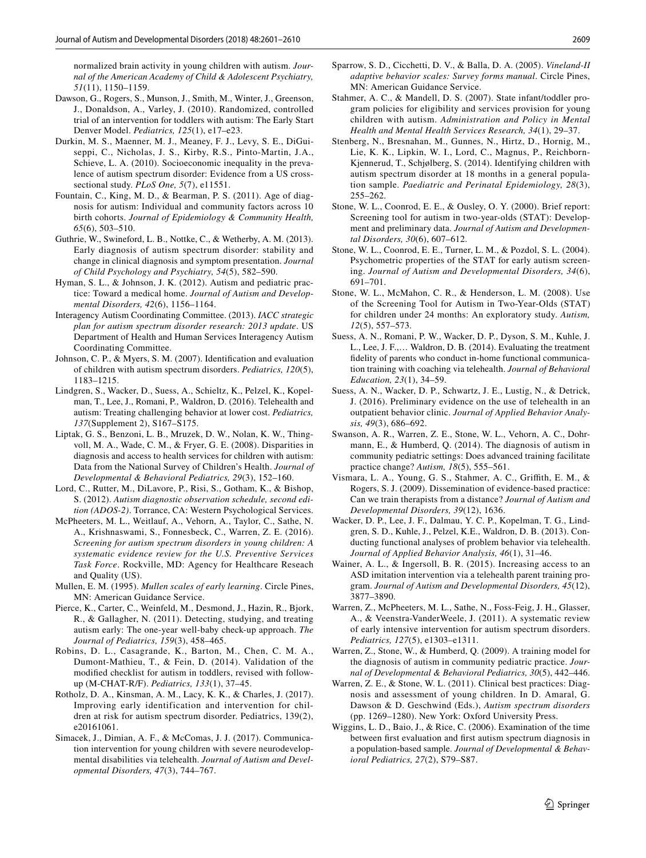- <span id="page-8-2"></span>Dawson, G., Rogers, S., Munson, J., Smith, M., Winter, J., Greenson, J., Donaldson, A., Varley, J. (2010). Randomized, controlled trial of an intervention for toddlers with autism: The Early Start Denver Model. *Pediatrics, 125*(1), e17–e23.
- <span id="page-8-7"></span>Durkin, M. S., Maenner, M. J., Meaney, F. J., Levy, S. E., DiGuiseppi, C., Nicholas, J. S., Kirby, R.S., Pinto-Martin, J.A., Schieve, L. A. (2010). Socioeconomic inequality in the prevalence of autism spectrum disorder: Evidence from a US crosssectional study. *PLoS One, 5*(7), e11551.
- <span id="page-8-8"></span>Fountain, C., King, M. D., & Bearman, P. S. (2011). Age of diagnosis for autism: Individual and community factors across 10 birth cohorts. *Journal of Epidemiology & Community Health, 65*(6), 503–510.
- <span id="page-8-1"></span>Guthrie, W., Swineford, L. B., Nottke, C., & Wetherby, A. M. (2013). Early diagnosis of autism spectrum disorder: stability and change in clinical diagnosis and symptom presentation. *Journal of Child Psychology and Psychiatry, 54*(5), 582–590.
- <span id="page-8-5"></span>Hyman, S. L., & Johnson, J. K. (2012). Autism and pediatric practice: Toward a medical home. *Journal of Autism and Developmental Disorders, 42*(6), 1156–1164.
- <span id="page-8-0"></span>Interagency Autism Coordinating Committee. (2013). *IACC strategic plan for autism spectrum disorder research: 2013 update*. US Department of Health and Human Services Interagency Autism Coordinating Committee.
- <span id="page-8-4"></span>Johnson, C. P., & Myers, S. M. (2007). Identification and evaluation of children with autism spectrum disorders. *Pediatrics, 120*(5), 1183–1215.
- <span id="page-8-16"></span>Lindgren, S., Wacker, D., Suess, A., Schieltz, K., Pelzel, K., Kopelman, T., Lee, J., Romani, P., Waldron, D. (2016). Telehealth and autism: Treating challenging behavior at lower cost. *Pediatrics, 137*(Supplement 2), S167–S175.
- <span id="page-8-9"></span>Liptak, G. S., Benzoni, L. B., Mruzek, D. W., Nolan, K. W., Thingvoll, M. A., Wade, C. M., & Fryer, G. E. (2008). Disparities in diagnosis and access to health services for children with autism: Data from the National Survey of Children's Health. *Journal of Developmental & Behavioral Pediatrics, 29*(3), 152–160.
- <span id="page-8-23"></span>Lord, C., Rutter, M., DiLavore, P., Risi, S., Gotham, K., & Bishop, S. (2012). *Autism diagnostic observation schedule, second edition (ADOS-2)*. Torrance, CA: Western Psychological Services.
- <span id="page-8-13"></span>McPheeters, M. L., Weitlauf, A., Vehorn, A., Taylor, C., Sathe, N. A., Krishnaswami, S., Fonnesbeck, C., Warren, Z. E. (2016). *Screening for autism spectrum disorders in young children: A systematic evidence review for the U.S. Preventive Services Task Force*. Rockville, MD: Agency for Healthcare Reseach and Quality (US).
- <span id="page-8-30"></span>Mullen, E. M. (1995). *Mullen scales of early learning*. Circle Pines, MN: American Guidance Service.
- <span id="page-8-11"></span>Pierce, K., Carter, C., Weinfeld, M., Desmond, J., Hazin, R., Bjork, R., & Gallagher, N. (2011). Detecting, studying, and treating autism early: The one-year well-baby check-up approach. *The Journal of Pediatrics, 159*(3), 458–465.
- <span id="page-8-14"></span>Robins, D. L., Casagrande, K., Barton, M., Chen, C. M. A., Dumont-Mathieu, T., & Fein, D. (2014). Validation of the modified checklist for autism in toddlers, revised with followup (M-CHAT-R/F). *Pediatrics, 133*(1), 37–45.
- <span id="page-8-26"></span>Rotholz, D. A., Kinsman, A. M., Lacy, K. K., & Charles, J. (2017). Improving early identification and intervention for children at risk for autism spectrum disorder. Pediatrics, 139(2), e20161061.
- <span id="page-8-17"></span>Simacek, J., Dimian, A. F., & McComas, J. J. (2017). Communication intervention for young children with severe neurodevelopmental disabilities via telehealth. *Journal of Autism and Developmental Disorders, 47*(3), 744–767.
- <span id="page-8-31"></span>Sparrow, S. D., Cicchetti, D. V., & Balla, D. A. (2005). *Vineland-II adaptive behavior scales: Survey forms manual*. Circle Pines, MN: American Guidance Service.
- <span id="page-8-12"></span>Stahmer, A. C., & Mandell, D. S. (2007). State infant/toddler program policies for eligibility and services provision for young children with autism. *Administration and Policy in Mental Health and Mental Health Services Research, 34*(1), 29–37.
- <span id="page-8-15"></span>Stenberg, N., Bresnahan, M., Gunnes, N., Hirtz, D., Hornig, M., Lie, K. K., Lipkin, W. I., Lord, C., Magnus, P., Reichborn-Kjennerud, T., Schjølberg, S. (2014). Identifying children with autism spectrum disorder at 18 months in a general population sample. *Paediatric and Perinatal Epidemiology, 28*(3), 255–262.
- <span id="page-8-27"></span>Stone, W. L., Coonrod, E. E., & Ousley, O. Y. (2000). Brief report: Screening tool for autism in two-year-olds (STAT): Development and preliminary data. *Journal of Autism and Developmental Disorders, 30*(6), 607–612.
- <span id="page-8-28"></span>Stone, W. L., Coonrod, E. E., Turner, L. M., & Pozdol, S. L. (2004). Psychometric properties of the STAT for early autism screening. *Journal of Autism and Developmental Disorders, 34*(6), 691–701.
- <span id="page-8-29"></span>Stone, W. L., McMahon, C. R., & Henderson, L. M. (2008). Use of the Screening Tool for Autism in Two-Year-Olds (STAT) for children under 24 months: An exploratory study. *Autism, 12*(5), 557–573.
- <span id="page-8-18"></span>Suess, A. N., Romani, P. W., Wacker, D. P., Dyson, S. M., Kuhle, J. L., Lee, J. F.,… Waldron, D. B. (2014). Evaluating the treatment fidelity of parents who conduct in-home functional communication training with coaching via telehealth. *Journal of Behavioral Education, 23*(1), 34–59.
- <span id="page-8-19"></span>Suess, A. N., Wacker, D. P., Schwartz, J. E., Lustig, N., & Detrick, J. (2016). Preliminary evidence on the use of telehealth in an outpatient behavior clinic. *Journal of Applied Behavior Analysis, 49*(3), 686–692.
- <span id="page-8-24"></span>Swanson, A. R., Warren, Z. E., Stone, W. L., Vehorn, A. C., Dohrmann, E., & Humberd, Q. (2014). The diagnosis of autism in community pediatric settings: Does advanced training facilitate practice change? *Autism, 18*(5), 555–561.
- <span id="page-8-20"></span>Vismara, L. A., Young, G. S., Stahmer, A. C., Griffith, E. M., & Rogers, S. J. (2009). Dissemination of evidence-based practice: Can we train therapists from a distance? *Journal of Autism and Developmental Disorders, 39*(12), 1636.
- <span id="page-8-21"></span>Wacker, D. P., Lee, J. F., Dalmau, Y. C. P., Kopelman, T. G., Lindgren, S. D., Kuhle, J., Pelzel, K.E., Waldron, D. B. (2013). Conducting functional analyses of problem behavior via telehealth. *Journal of Applied Behavior Analysis, 46*(1), 31–46.
- <span id="page-8-22"></span>Wainer, A. L., & Ingersoll, B. R. (2015). Increasing access to an ASD imitation intervention via a telehealth parent training program. *Journal of Autism and Developmental Disorders, 45*(12), 3877–3890.
- <span id="page-8-3"></span>Warren, Z., McPheeters, M. L., Sathe, N., Foss-Feig, J. H., Glasser, A., & Veenstra-VanderWeele, J. (2011). A systematic review of early intensive intervention for autism spectrum disorders. *Pediatrics, 127*(5), e1303–e1311.
- <span id="page-8-25"></span>Warren, Z., Stone, W., & Humberd, Q. (2009). A training model for the diagnosis of autism in community pediatric practice. *Journal of Developmental & Behavioral Pediatrics, 30*(5), 442–446.
- <span id="page-8-10"></span>Warren, Z. E., & Stone, W. L. (2011). Clinical best practices: Diagnosis and assessment of young children. In D. Amaral, G. Dawson & D. Geschwind (Eds.), *Autism spectrum disorders* (pp. 1269–1280). New York: Oxford University Press.
- <span id="page-8-6"></span>Wiggins, L. D., Baio, J., & Rice, C. (2006). Examination of the time between first evaluation and first autism spectrum diagnosis in a population-based sample. *Journal of Developmental & Behavioral Pediatrics, 27*(2), S79–S87.